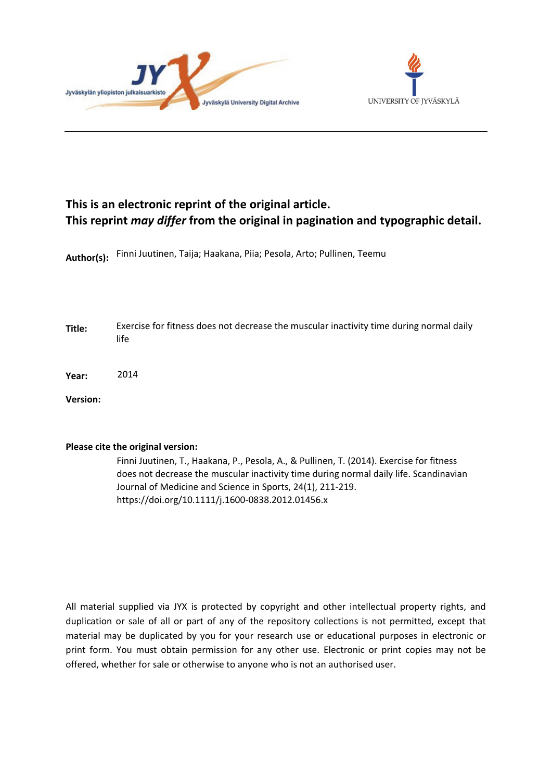



# **This is an electronic reprint of the original article. This reprint** *may differ* **from the original in pagination and typographic detail.**

**Author(s):**  Finni Juutinen, Taija; Haakana, Piia; Pesola, Arto; Pullinen, Teemu

- **Title:** Exercise for fitness does not decrease the muscular inactivity time during normal daily life
- **Year:**  2014

**Version:**

## **Please cite the original version:**

Finni Juutinen, T., Haakana, P., Pesola, A., & Pullinen, T. (2014). Exercise for fitness does not decrease the muscular inactivity time during normal daily life. Scandinavian Journal of Medicine and Science in Sports, 24(1), 211-219. https://doi.org/10.1111/j.1600-0838.2012.01456.x

All material supplied via JYX is protected by copyright and other intellectual property rights, and duplication or sale of all or part of any of the repository collections is not permitted, except that material may be duplicated by you for your research use or educational purposes in electronic or print form. You must obtain permission for any other use. Electronic or print copies may not be offered, whether for sale or otherwise to anyone who is not an authorised user.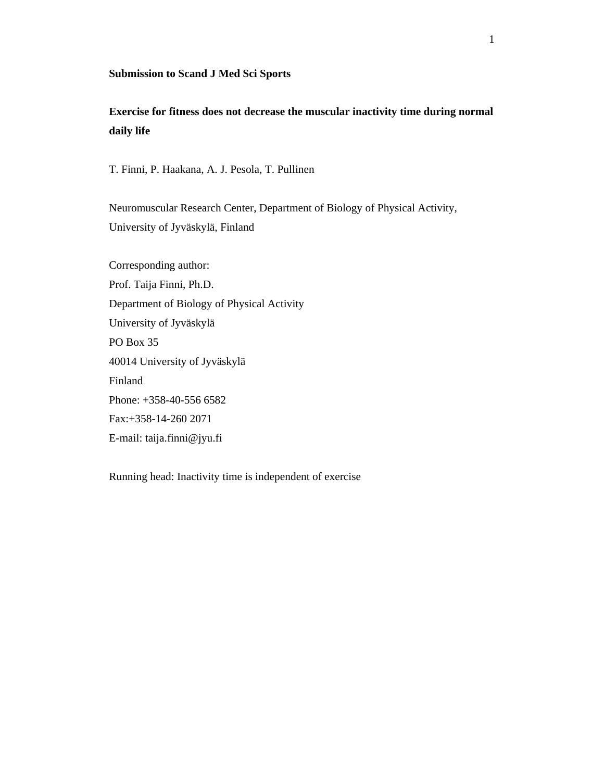#### **Submission to Scand J Med Sci Sports**

## **Exercise for fitness does not decrease the muscular inactivity time during normal daily life**

T. Finni, P. Haakana, A. J. Pesola, T. Pullinen

Neuromuscular Research Center, Department of Biology of Physical Activity, University of Jyväskylä, Finland

Corresponding author: Prof. Taija Finni, Ph.D. Department of Biology of Physical Activity University of Jyväskylä PO Box 35 40014 University of Jyväskylä Finland Phone: +358-40-556 6582 Fax:+358-14-260 2071 E-mail: taija.finni@jyu.fi

Running head: Inactivity time is independent of exercise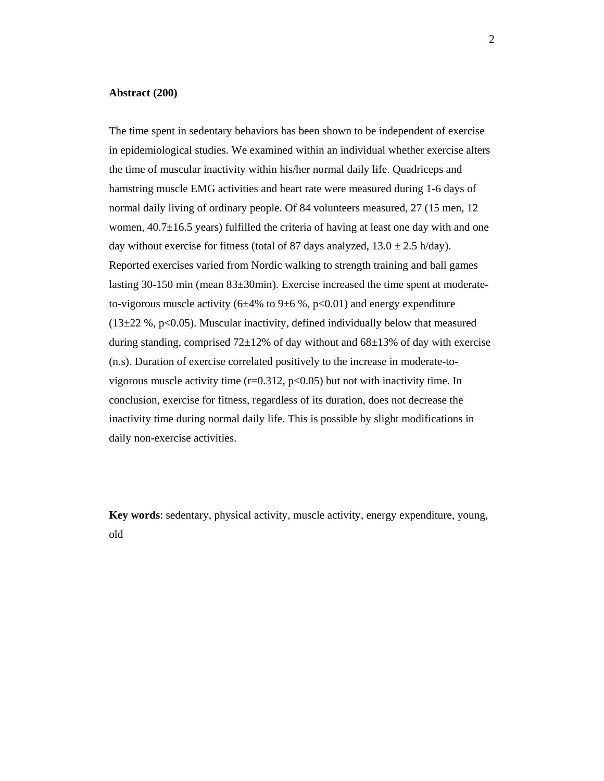#### **Abstract (200)**

The time spent in sedentary behaviors has been shown to be independent of exercise in epidemiological studies. We examined within an individual whether exercise alters the time of muscular inactivity within his/her normal daily life. Quadriceps and hamstring muscle EMG activities and heart rate were measured during 1-6 days of normal daily living of ordinary people. Of 84 volunteers measured, 27 (15 men, 12 women,  $40.7\pm16.5$  years) fulfilled the criteria of having at least one day with and one day without exercise for fitness (total of 87 days analyzed,  $13.0 \pm 2.5$  h/day). Reported exercises varied from Nordic walking to strength training and ball games lasting 30-150 min (mean 83±30min). Exercise increased the time spent at moderateto-vigorous muscle activity (6 $\pm$ 4% to 9 $\pm$ 6%, p<0.01) and energy expenditure  $(13\pm22\% , p<0.05)$ . Muscular inactivity, defined individually below that measured during standing, comprised  $72\pm12\%$  of day without and  $68\pm13\%$  of day with exercise (n.s). Duration of exercise correlated positively to the increase in moderate-tovigorous muscle activity time  $(r=0.312, p<0.05)$  but not with inactivity time. In conclusion, exercise for fitness, regardless of its duration, does not decrease the inactivity time during normal daily life. This is possible by slight modifications in daily non-exercise activities.

**Key words**: sedentary, physical activity, muscle activity, energy expenditure, young, old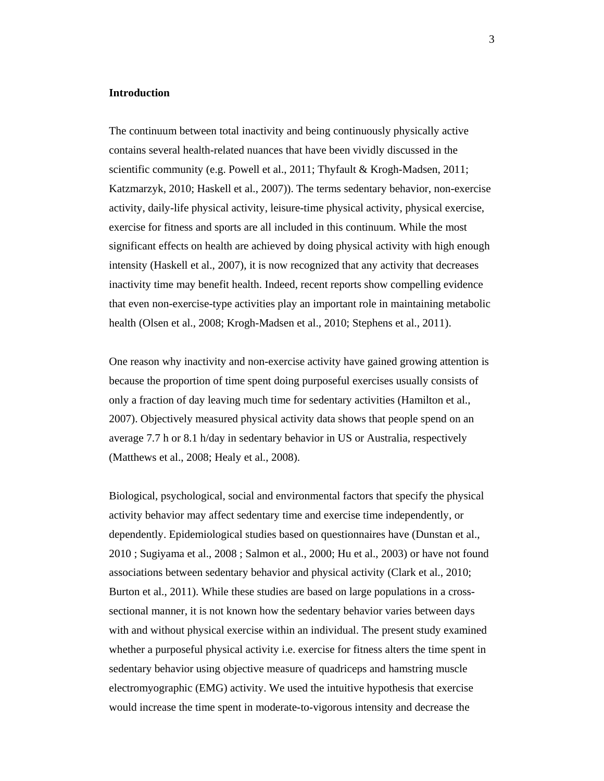## **Introduction**

The continuum between total inactivity and being continuously physically active contains several health-related nuances that have been vividly discussed in the scientific community (e.g. Powell et al., 2011; Thyfault & Krogh-Madsen, 2011; Katzmarzyk, 2010; Haskell et al., 2007)). The terms sedentary behavior, non-exercise activity, daily-life physical activity, leisure-time physical activity, physical exercise, exercise for fitness and sports are all included in this continuum. While the most significant effects on health are achieved by doing physical activity with high enough intensity (Haskell et al., 2007), it is now recognized that any activity that decreases inactivity time may benefit health. Indeed, recent reports show compelling evidence that even non-exercise-type activities play an important role in maintaining metabolic health (Olsen et al., 2008; Krogh-Madsen et al., 2010; Stephens et al., 2011).

One reason why inactivity and non-exercise activity have gained growing attention is because the proportion of time spent doing purposeful exercises usually consists of only a fraction of day leaving much time for sedentary activities (Hamilton et al., 2007). Objectively measured physical activity data shows that people spend on an average 7.7 h or 8.1 h/day in sedentary behavior in US or Australia, respectively (Matthews et al., 2008; Healy et al., 2008).

Biological, psychological, social and environmental factors that specify the physical activity behavior may affect sedentary time and exercise time independently, or dependently. Epidemiological studies based on questionnaires have (Dunstan et al., 2010 ; Sugiyama et al., 2008 ; Salmon et al., 2000; Hu et al., 2003) or have not found associations between sedentary behavior and physical activity (Clark et al., 2010; Burton et al., 2011). While these studies are based on large populations in a crosssectional manner, it is not known how the sedentary behavior varies between days with and without physical exercise within an individual. The present study examined whether a purposeful physical activity i.e. exercise for fitness alters the time spent in sedentary behavior using objective measure of quadriceps and hamstring muscle electromyographic (EMG) activity. We used the intuitive hypothesis that exercise would increase the time spent in moderate-to-vigorous intensity and decrease the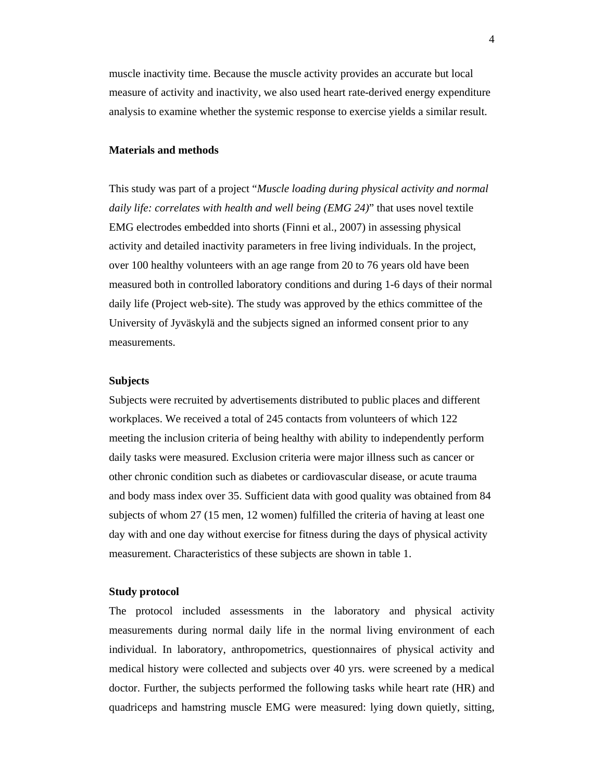muscle inactivity time. Because the muscle activity provides an accurate but local measure of activity and inactivity, we also used heart rate-derived energy expenditure analysis to examine whether the systemic response to exercise yields a similar result.

#### **Materials and methods**

This study was part of a project "*Muscle loading during physical activity and normal daily life: correlates with health and well being (EMG 24)*" that uses novel textile EMG electrodes embedded into shorts (Finni et al., 2007) in assessing physical activity and detailed inactivity parameters in free living individuals. In the project, over 100 healthy volunteers with an age range from 20 to 76 years old have been measured both in controlled laboratory conditions and during 1-6 days of their normal daily life (Project web-site). The study was approved by the ethics committee of the University of Jyväskylä and the subjects signed an informed consent prior to any measurements.

#### **Subjects**

Subjects were recruited by advertisements distributed to public places and different workplaces. We received a total of 245 contacts from volunteers of which 122 meeting the inclusion criteria of being healthy with ability to independently perform daily tasks were measured. Exclusion criteria were major illness such as cancer or other chronic condition such as diabetes or cardiovascular disease, or acute trauma and body mass index over 35. Sufficient data with good quality was obtained from 84 subjects of whom 27 (15 men, 12 women) fulfilled the criteria of having at least one day with and one day without exercise for fitness during the days of physical activity measurement. Characteristics of these subjects are shown in table 1.

#### **Study protocol**

The protocol included assessments in the laboratory and physical activity measurements during normal daily life in the normal living environment of each individual. In laboratory, anthropometrics, questionnaires of physical activity and medical history were collected and subjects over 40 yrs. were screened by a medical doctor. Further, the subjects performed the following tasks while heart rate (HR) and quadriceps and hamstring muscle EMG were measured: lying down quietly, sitting,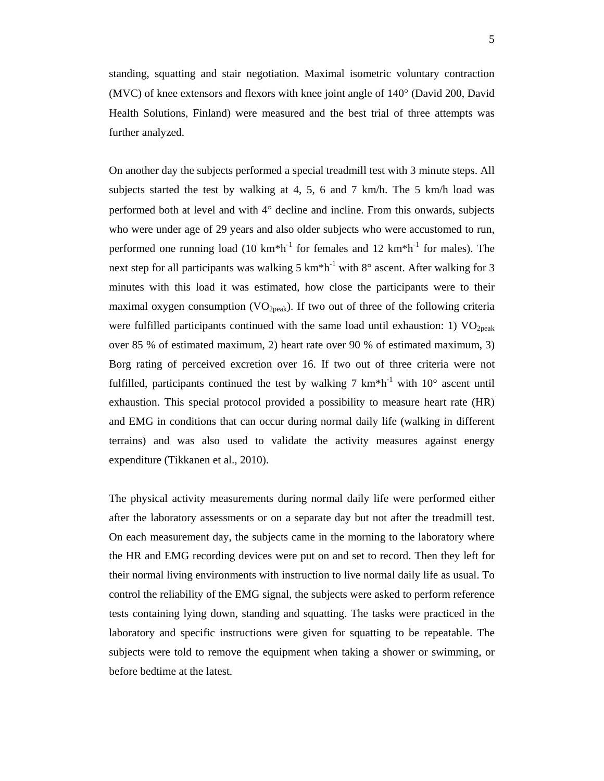standing, squatting and stair negotiation. Maximal isometric voluntary contraction (MVC) of knee extensors and flexors with knee joint angle of  $140^{\circ}$  (David 200, David Health Solutions, Finland) were measured and the best trial of three attempts was further analyzed.

On another day the subjects performed a special treadmill test with 3 minute steps. All subjects started the test by walking at 4, 5, 6 and 7 km/h. The 5 km/h load was performed both at level and with  $4^{\circ}$  decline and incline. From this onwards, subjects who were under age of 29 years and also older subjects who were accustomed to run, performed one running load (10 km<sup>\*h<sup>-1</sup> for females and 12 km<sup>\*h<sup>-1</sup> for males). The</sup></sup> next step for all participants was walking 5 km<sup>\*h<sup>-1</sup> with 8 $\degree$  ascent. After walking for 3</sup> minutes with this load it was estimated, how close the participants were to their maximal oxygen consumption  $(VO_{2peak})$ . If two out of three of the following criteria were fulfilled participants continued with the same load until exhaustion: 1)  $VO<sub>2peak</sub>$ over 85 % of estimated maximum, 2) heart rate over 90 % of estimated maximum, 3) Borg rating of perceived excretion over 16. If two out of three criteria were not fulfilled, participants continued the test by walking  $7 \text{ km}^* \text{h}^{-1}$  with  $10^{\circ}$  ascent until exhaustion. This special protocol provided a possibility to measure heart rate (HR) and EMG in conditions that can occur during normal daily life (walking in different terrains) and was also used to validate the activity measures against energy expenditure (Tikkanen et al., 2010).

The physical activity measurements during normal daily life were performed either after the laboratory assessments or on a separate day but not after the treadmill test. On each measurement day, the subjects came in the morning to the laboratory where the HR and EMG recording devices were put on and set to record. Then they left for their normal living environments with instruction to live normal daily life as usual. To control the reliability of the EMG signal, the subjects were asked to perform reference tests containing lying down, standing and squatting. The tasks were practiced in the laboratory and specific instructions were given for squatting to be repeatable. The subjects were told to remove the equipment when taking a shower or swimming, or before bedtime at the latest.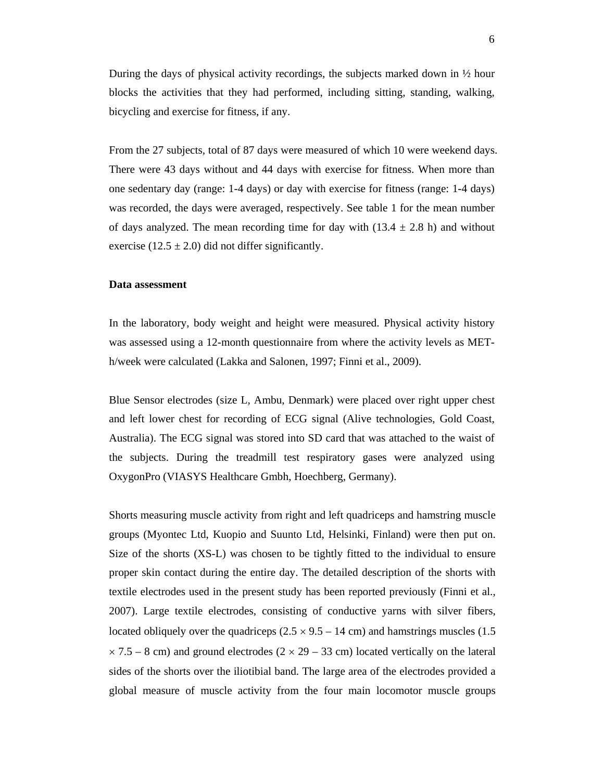During the days of physical activity recordings, the subjects marked down in  $\frac{1}{2}$  hour blocks the activities that they had performed, including sitting, standing, walking, bicycling and exercise for fitness, if any.

From the 27 subjects, total of 87 days were measured of which 10 were weekend days. There were 43 days without and 44 days with exercise for fitness. When more than one sedentary day (range: 1-4 days) or day with exercise for fitness (range: 1-4 days) was recorded, the days were averaged, respectively. See table 1 for the mean number of days analyzed. The mean recording time for day with  $(13.4 \pm 2.8 \text{ h})$  and without exercise (12.5  $\pm$  2.0) did not differ significantly.

#### **Data assessment**

In the laboratory, body weight and height were measured. Physical activity history was assessed using a 12-month questionnaire from where the activity levels as METh/week were calculated (Lakka and Salonen, 1997; Finni et al., 2009).

Blue Sensor electrodes (size L, Ambu, Denmark) were placed over right upper chest and left lower chest for recording of ECG signal (Alive technologies, Gold Coast, Australia). The ECG signal was stored into SD card that was attached to the waist of the subjects. During the treadmill test respiratory gases were analyzed using OxygonPro (VIASYS Healthcare Gmbh, Hoechberg, Germany).

Shorts measuring muscle activity from right and left quadriceps and hamstring muscle groups (Myontec Ltd, Kuopio and Suunto Ltd, Helsinki, Finland) were then put on. Size of the shorts (XS-L) was chosen to be tightly fitted to the individual to ensure proper skin contact during the entire day. The detailed description of the shorts with textile electrodes used in the present study has been reported previously (Finni et al., 2007). Large textile electrodes, consisting of conductive yarns with silver fibers, located obliquely over the quadriceps  $(2.5 \times 9.5 - 14 \text{ cm})$  and hamstrings muscles (1.5)  $\times$  7.5 – 8 cm) and ground electrodes (2  $\times$  29 – 33 cm) located vertically on the lateral sides of the shorts over the iliotibial band. The large area of the electrodes provided a global measure of muscle activity from the four main locomotor muscle groups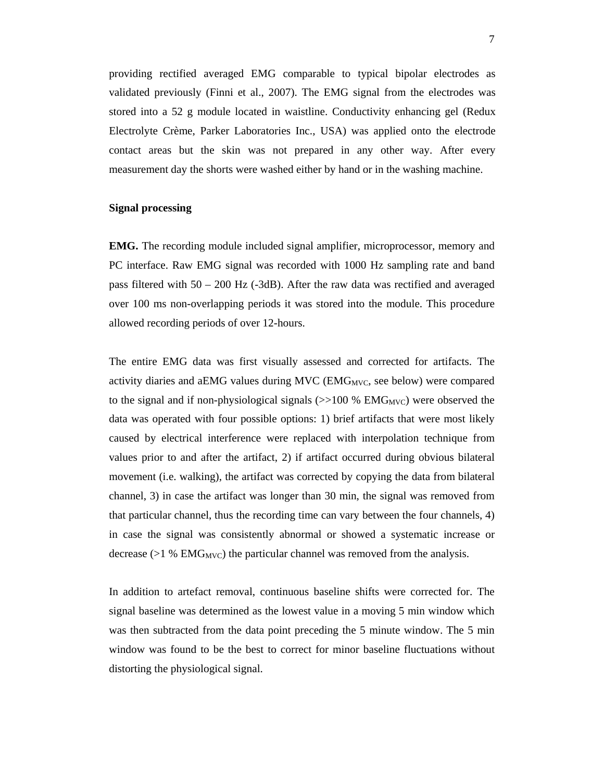providing rectified averaged EMG comparable to typical bipolar electrodes as validated previously (Finni et al., 2007). The EMG signal from the electrodes was stored into a 52 g module located in waistline. Conductivity enhancing gel (Redux Electrolyte Crème, Parker Laboratories Inc., USA) was applied onto the electrode contact areas but the skin was not prepared in any other way. After every measurement day the shorts were washed either by hand or in the washing machine.

#### **Signal processing**

**EMG.** The recording module included signal amplifier, microprocessor, memory and PC interface. Raw EMG signal was recorded with 1000 Hz sampling rate and band pass filtered with 50 – 200 Hz (-3dB). After the raw data was rectified and averaged over 100 ms non-overlapping periods it was stored into the module. This procedure allowed recording periods of over 12-hours.

The entire EMG data was first visually assessed and corrected for artifacts. The activity diaries and aEMG values during MVC ( $EMG<sub>MVC</sub>$ , see below) were compared to the signal and if non-physiological signals  $(\gg 100\% \text{ EMG}_{\text{MVC}})$  were observed the data was operated with four possible options: 1) brief artifacts that were most likely caused by electrical interference were replaced with interpolation technique from values prior to and after the artifact, 2) if artifact occurred during obvious bilateral movement (i.e. walking), the artifact was corrected by copying the data from bilateral channel, 3) in case the artifact was longer than 30 min, the signal was removed from that particular channel, thus the recording time can vary between the four channels, 4) in case the signal was consistently abnormal or showed a systematic increase or decrease  $(>1\%$  EMG<sub>MVC</sub>) the particular channel was removed from the analysis.

In addition to artefact removal, continuous baseline shifts were corrected for. The signal baseline was determined as the lowest value in a moving 5 min window which was then subtracted from the data point preceding the 5 minute window. The 5 min window was found to be the best to correct for minor baseline fluctuations without distorting the physiological signal.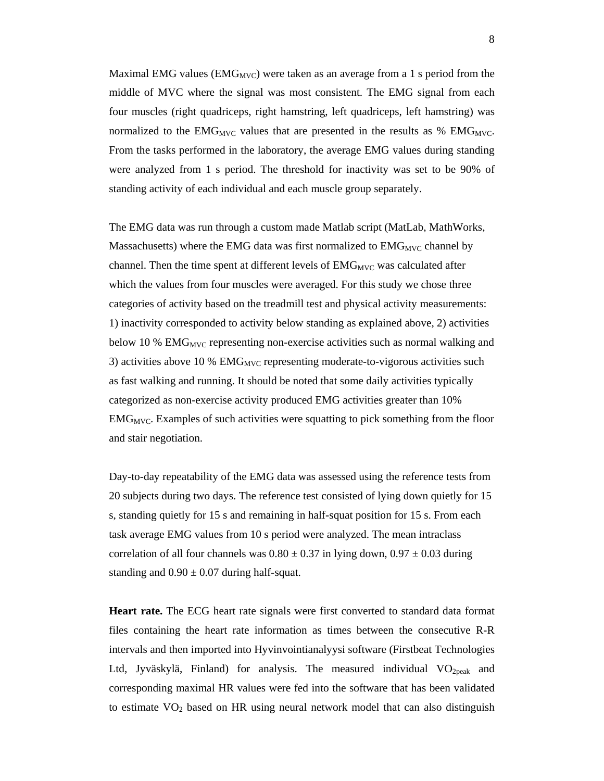Maximal EMG values ( $EMG_{MVC}$ ) were taken as an average from a 1 s period from the middle of MVC where the signal was most consistent. The EMG signal from each four muscles (right quadriceps, right hamstring, left quadriceps, left hamstring) was normalized to the  $EMG_{MVC}$  values that are presented in the results as %  $EMG_{MVC}$ . From the tasks performed in the laboratory, the average EMG values during standing were analyzed from 1 s period. The threshold for inactivity was set to be 90% of standing activity of each individual and each muscle group separately.

The EMG data was run through a custom made Matlab script (MatLab, MathWorks, Massachusetts) where the EMG data was first normalized to  $EMG<sub>MVC</sub>$  channel by channel. Then the time spent at different levels of  $EMG<sub>MVC</sub>$  was calculated after which the values from four muscles were averaged. For this study we chose three categories of activity based on the treadmill test and physical activity measurements: 1) inactivity corresponded to activity below standing as explained above, 2) activities below 10 %  $EMG<sub>MVC</sub>$  representing non-exercise activities such as normal walking and 3) activities above 10 %  $EMG<sub>MVC</sub>$  representing moderate-to-vigorous activities such as fast walking and running. It should be noted that some daily activities typically categorized as non-exercise activity produced EMG activities greater than 10%  $EMG<sub>MVC</sub>$ . Examples of such activities were squatting to pick something from the floor and stair negotiation.

Day-to-day repeatability of the EMG data was assessed using the reference tests from 20 subjects during two days. The reference test consisted of lying down quietly for 15 s, standing quietly for 15 s and remaining in half-squat position for 15 s. From each task average EMG values from 10 s period were analyzed. The mean intraclass correlation of all four channels was  $0.80 \pm 0.37$  in lying down,  $0.97 \pm 0.03$  during standing and  $0.90 \pm 0.07$  during half-squat.

**Heart rate.** The ECG heart rate signals were first converted to standard data format files containing the heart rate information as times between the consecutive R-R intervals and then imported into Hyvinvointianalyysi software (Firstbeat Technologies Ltd, Jyväskylä, Finland) for analysis. The measured individual  $VO<sub>2peak</sub>$  and corresponding maximal HR values were fed into the software that has been validated to estimate  $VO<sub>2</sub>$  based on HR using neural network model that can also distinguish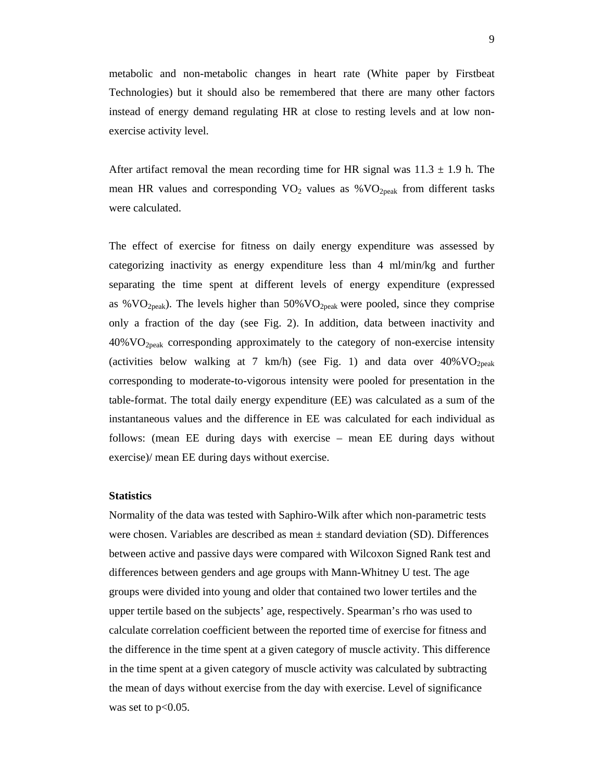metabolic and non-metabolic changes in heart rate (White paper by Firstbeat Technologies) but it should also be remembered that there are many other factors instead of energy demand regulating HR at close to resting levels and at low nonexercise activity level.

After artifact removal the mean recording time for HR signal was  $11.3 \pm 1.9$  h. The mean HR values and corresponding  $VO_2$  values as % $VO_{2peak}$  from different tasks were calculated.

The effect of exercise for fitness on daily energy expenditure was assessed by categorizing inactivity as energy expenditure less than 4 ml/min/kg and further separating the time spent at different levels of energy expenditure (expressed as % $VO<sub>2peak</sub>$ ). The levels higher than 50% $VO<sub>2peak</sub>$  were pooled, since they comprise only a fraction of the day (see Fig. 2). In addition, data between inactivity and  $40\%$  VO<sub>2peak</sub> corresponding approximately to the category of non-exercise intensity (activities below walking at 7 km/h) (see Fig. 1) and data over  $40\% \text{VO}_{2\text{peak}}$ corresponding to moderate-to-vigorous intensity were pooled for presentation in the table-format. The total daily energy expenditure (EE) was calculated as a sum of the instantaneous values and the difference in EE was calculated for each individual as follows: (mean EE during days with exercise – mean EE during days without exercise)/ mean EE during days without exercise.

#### **Statistics**

Normality of the data was tested with Saphiro-Wilk after which non-parametric tests were chosen. Variables are described as mean ± standard deviation (SD). Differences between active and passive days were compared with Wilcoxon Signed Rank test and differences between genders and age groups with Mann-Whitney U test. The age groups were divided into young and older that contained two lower tertiles and the upper tertile based on the subjects' age, respectively. Spearman's rho was used to calculate correlation coefficient between the reported time of exercise for fitness and the difference in the time spent at a given category of muscle activity. This difference in the time spent at a given category of muscle activity was calculated by subtracting the mean of days without exercise from the day with exercise. Level of significance was set to  $p<0.05$ .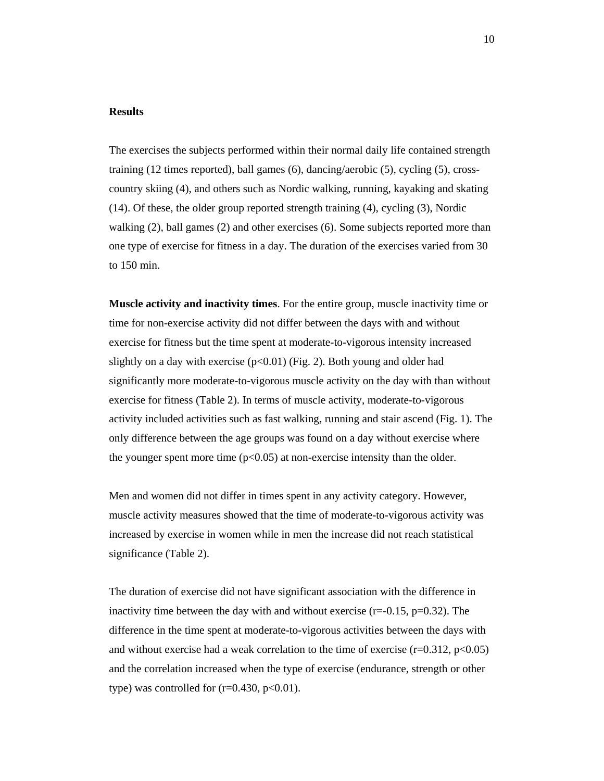#### **Results**

The exercises the subjects performed within their normal daily life contained strength training (12 times reported), ball games (6), dancing/aerobic (5), cycling (5), crosscountry skiing (4), and others such as Nordic walking, running, kayaking and skating (14). Of these, the older group reported strength training (4), cycling (3), Nordic walking (2), ball games (2) and other exercises (6). Some subjects reported more than one type of exercise for fitness in a day. The duration of the exercises varied from 30 to 150 min.

**Muscle activity and inactivity times**. For the entire group, muscle inactivity time or time for non-exercise activity did not differ between the days with and without exercise for fitness but the time spent at moderate-to-vigorous intensity increased slightly on a day with exercise  $(p<0.01)$  (Fig. 2). Both young and older had significantly more moderate-to-vigorous muscle activity on the day with than without exercise for fitness (Table 2). In terms of muscle activity, moderate-to-vigorous activity included activities such as fast walking, running and stair ascend (Fig. 1). The only difference between the age groups was found on a day without exercise where the younger spent more time  $(p<0.05)$  at non-exercise intensity than the older.

Men and women did not differ in times spent in any activity category. However, muscle activity measures showed that the time of moderate-to-vigorous activity was increased by exercise in women while in men the increase did not reach statistical significance (Table 2).

The duration of exercise did not have significant association with the difference in inactivity time between the day with and without exercise ( $r=-0.15$ ,  $p=0.32$ ). The difference in the time spent at moderate-to-vigorous activities between the days with and without exercise had a weak correlation to the time of exercise  $(r=0.312, p<0.05)$ and the correlation increased when the type of exercise (endurance, strength or other type) was controlled for  $(r=0.430, p<0.01)$ .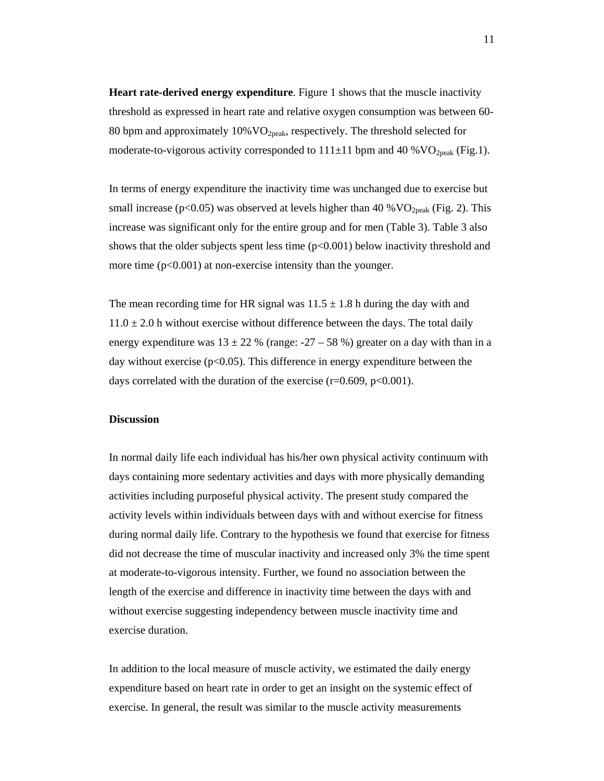**Heart rate-derived energy expenditure**. Figure 1 shows that the muscle inactivity threshold as expressed in heart rate and relative oxygen consumption was between 60- 80 bpm and approximately  $10\%$  VO<sub>2peak</sub>, respectively. The threshold selected for moderate-to-vigorous activity corresponded to  $111\pm11$  bpm and 40 % VO<sub>2peak</sub> (Fig.1).

In terms of energy expenditure the inactivity time was unchanged due to exercise but small increase ( $p<0.05$ ) was observed at levels higher than 40 %  $VO_{2peak}$  (Fig. 2). This increase was significant only for the entire group and for men (Table 3). Table 3 also shows that the older subjects spent less time  $(p<0.001)$  below inactivity threshold and more time  $(p<0.001)$  at non-exercise intensity than the younger.

The mean recording time for HR signal was  $11.5 \pm 1.8$  h during the day with and  $11.0 \pm 2.0$  h without exercise without difference between the days. The total daily energy expenditure was  $13 \pm 22$  % (range: -27 – 58 %) greater on a day with than in a day without exercise ( $p<0.05$ ). This difference in energy expenditure between the days correlated with the duration of the exercise ( $r=0.609$ ,  $p<0.001$ ).

#### **Discussion**

In normal daily life each individual has his/her own physical activity continuum with days containing more sedentary activities and days with more physically demanding activities including purposeful physical activity. The present study compared the activity levels within individuals between days with and without exercise for fitness during normal daily life. Contrary to the hypothesis we found that exercise for fitness did not decrease the time of muscular inactivity and increased only 3% the time spent at moderate-to-vigorous intensity. Further, we found no association between the length of the exercise and difference in inactivity time between the days with and without exercise suggesting independency between muscle inactivity time and exercise duration.

In addition to the local measure of muscle activity, we estimated the daily energy expenditure based on heart rate in order to get an insight on the systemic effect of exercise. In general, the result was similar to the muscle activity measurements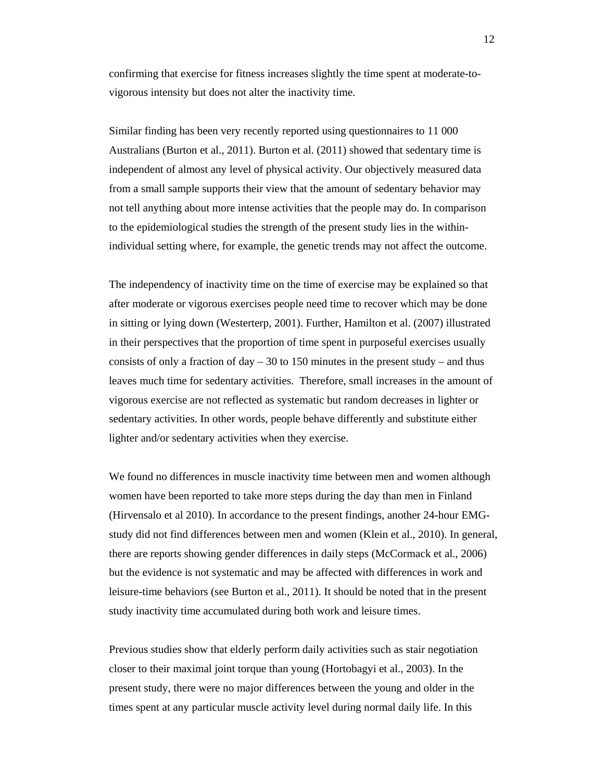confirming that exercise for fitness increases slightly the time spent at moderate-tovigorous intensity but does not alter the inactivity time.

Similar finding has been very recently reported using questionnaires to 11 000 Australians (Burton et al., 2011). Burton et al. (2011) showed that sedentary time is independent of almost any level of physical activity. Our objectively measured data from a small sample supports their view that the amount of sedentary behavior may not tell anything about more intense activities that the people may do. In comparison to the epidemiological studies the strength of the present study lies in the withinindividual setting where, for example, the genetic trends may not affect the outcome.

The independency of inactivity time on the time of exercise may be explained so that after moderate or vigorous exercises people need time to recover which may be done in sitting or lying down (Westerterp, 2001). Further, Hamilton et al. (2007) illustrated in their perspectives that the proportion of time spent in purposeful exercises usually consists of only a fraction of day  $-30$  to 150 minutes in the present study – and thus leaves much time for sedentary activities. Therefore, small increases in the amount of vigorous exercise are not reflected as systematic but random decreases in lighter or sedentary activities. In other words, people behave differently and substitute either lighter and/or sedentary activities when they exercise.

We found no differences in muscle inactivity time between men and women although women have been reported to take more steps during the day than men in Finland (Hirvensalo et al 2010). In accordance to the present findings, another 24-hour EMGstudy did not find differences between men and women (Klein et al., 2010). In general, there are reports showing gender differences in daily steps (McCormack et al., 2006) but the evidence is not systematic and may be affected with differences in work and leisure-time behaviors (see Burton et al., 2011). It should be noted that in the present study inactivity time accumulated during both work and leisure times.

Previous studies show that elderly perform daily activities such as stair negotiation closer to their maximal joint torque than young (Hortobagyi et al., 2003). In the present study, there were no major differences between the young and older in the times spent at any particular muscle activity level during normal daily life. In this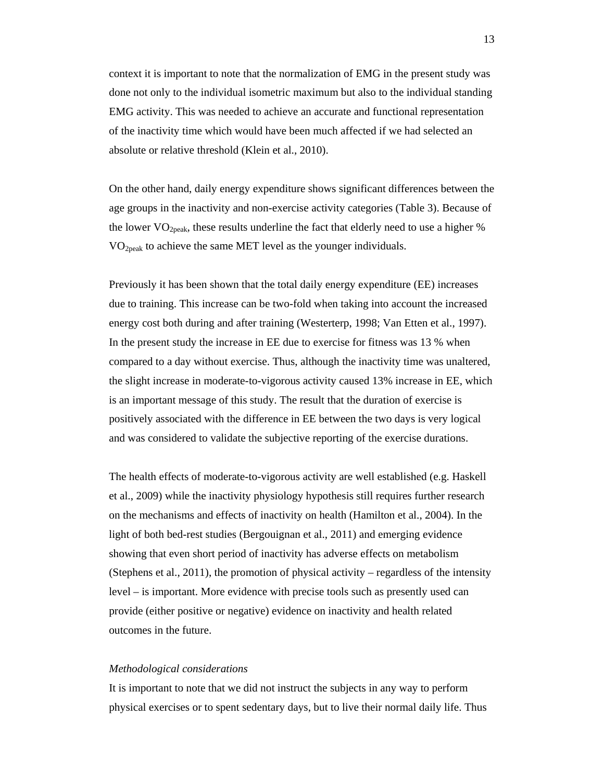context it is important to note that the normalization of EMG in the present study was done not only to the individual isometric maximum but also to the individual standing EMG activity. This was needed to achieve an accurate and functional representation of the inactivity time which would have been much affected if we had selected an absolute or relative threshold (Klein et al., 2010).

On the other hand, daily energy expenditure shows significant differences between the age groups in the inactivity and non-exercise activity categories (Table 3). Because of the lower  $VO<sub>2peak</sub>$ , these results underline the fact that elderly need to use a higher % VO2peak to achieve the same MET level as the younger individuals.

Previously it has been shown that the total daily energy expenditure (EE) increases due to training. This increase can be two-fold when taking into account the increased energy cost both during and after training (Westerterp, 1998; Van Etten et al., 1997). In the present study the increase in EE due to exercise for fitness was 13 % when compared to a day without exercise. Thus, although the inactivity time was unaltered, the slight increase in moderate-to-vigorous activity caused 13% increase in EE, which is an important message of this study. The result that the duration of exercise is positively associated with the difference in EE between the two days is very logical and was considered to validate the subjective reporting of the exercise durations.

The health effects of moderate-to-vigorous activity are well established (e.g. Haskell et al., 2009) while the inactivity physiology hypothesis still requires further research on the mechanisms and effects of inactivity on health (Hamilton et al., 2004). In the light of both bed-rest studies (Bergouignan et al., 2011) and emerging evidence showing that even short period of inactivity has adverse effects on metabolism (Stephens et al., 2011), the promotion of physical activity – regardless of the intensity level – is important. More evidence with precise tools such as presently used can provide (either positive or negative) evidence on inactivity and health related outcomes in the future.

#### *Methodological considerations*

It is important to note that we did not instruct the subjects in any way to perform physical exercises or to spent sedentary days, but to live their normal daily life. Thus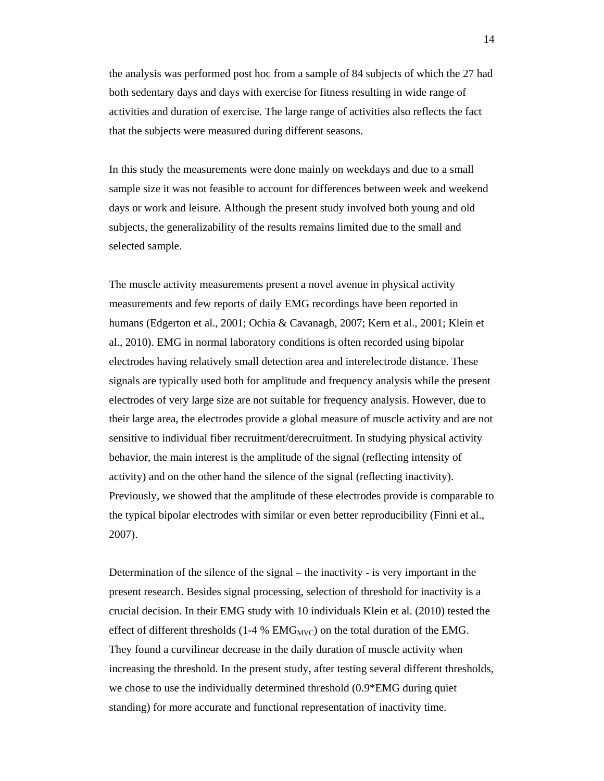the analysis was performed post hoc from a sample of 84 subjects of which the 27 had both sedentary days and days with exercise for fitness resulting in wide range of activities and duration of exercise. The large range of activities also reflects the fact that the subjects were measured during different seasons.

In this study the measurements were done mainly on weekdays and due to a small sample size it was not feasible to account for differences between week and weekend days or work and leisure. Although the present study involved both young and old subjects, the generalizability of the results remains limited due to the small and selected sample.

The muscle activity measurements present a novel avenue in physical activity measurements and few reports of daily EMG recordings have been reported in humans (Edgerton et al., 2001; Ochia & Cavanagh, 2007; Kern et al., 2001; Klein et al., 2010). EMG in normal laboratory conditions is often recorded using bipolar electrodes having relatively small detection area and interelectrode distance. These signals are typically used both for amplitude and frequency analysis while the present electrodes of very large size are not suitable for frequency analysis. However, due to their large area, the electrodes provide a global measure of muscle activity and are not sensitive to individual fiber recruitment/derecruitment. In studying physical activity behavior, the main interest is the amplitude of the signal (reflecting intensity of activity) and on the other hand the silence of the signal (reflecting inactivity). Previously, we showed that the amplitude of these electrodes provide is comparable to the typical bipolar electrodes with similar or even better reproducibility (Finni et al., 2007).

Determination of the silence of the signal – the inactivity - is very important in the present research. Besides signal processing, selection of threshold for inactivity is a crucial decision. In their EMG study with 10 individuals Klein et al. (2010) tested the effect of different thresholds (1-4 %  $EMG<sub>MVC</sub>$ ) on the total duration of the EMG. They found a curvilinear decrease in the daily duration of muscle activity when increasing the threshold. In the present study, after testing several different thresholds, we chose to use the individually determined threshold (0.9\*EMG during quiet standing) for more accurate and functional representation of inactivity time.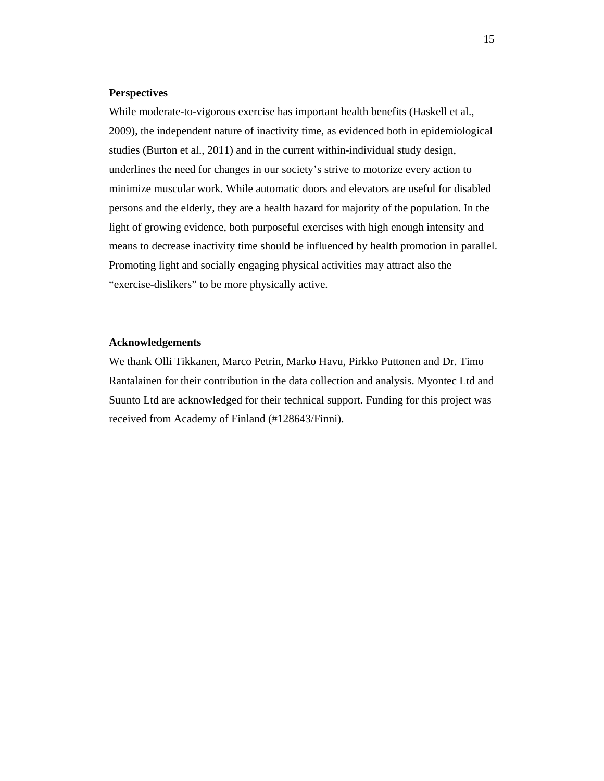## **Perspectives**

While moderate-to-vigorous exercise has important health benefits (Haskell et al., 2009), the independent nature of inactivity time, as evidenced both in epidemiological studies (Burton et al., 2011) and in the current within-individual study design, underlines the need for changes in our society's strive to motorize every action to minimize muscular work. While automatic doors and elevators are useful for disabled persons and the elderly, they are a health hazard for majority of the population. In the light of growing evidence, both purposeful exercises with high enough intensity and means to decrease inactivity time should be influenced by health promotion in parallel. Promoting light and socially engaging physical activities may attract also the "exercise-dislikers" to be more physically active.

### **Acknowledgements**

We thank Olli Tikkanen, Marco Petrin, Marko Havu, Pirkko Puttonen and Dr. Timo Rantalainen for their contribution in the data collection and analysis. Myontec Ltd and Suunto Ltd are acknowledged for their technical support. Funding for this project was received from Academy of Finland (#128643/Finni).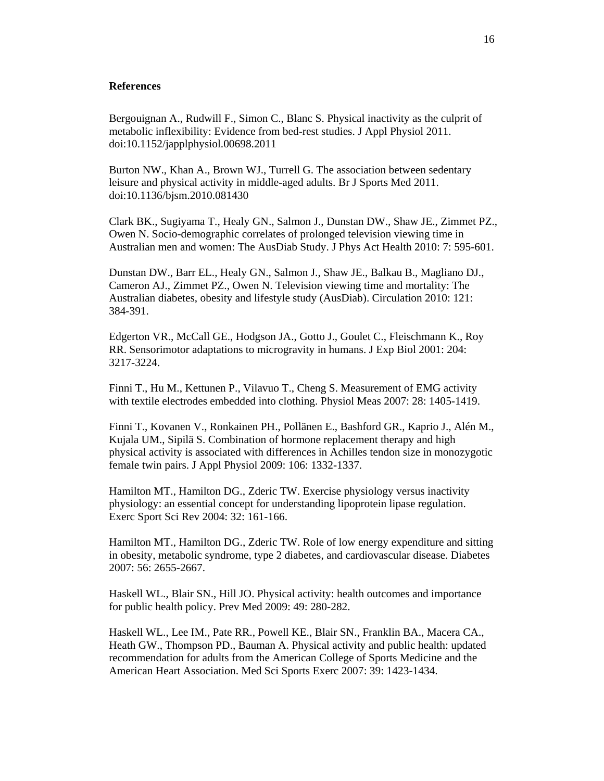## **References**

Bergouignan A., Rudwill F., Simon C., Blanc S. Physical inactivity as the culprit of metabolic inflexibility: Evidence from bed-rest studies. J Appl Physiol 2011. doi:10.1152/japplphysiol.00698.2011

Burton NW., Khan A., Brown WJ., Turrell G. The association between sedentary leisure and physical activity in middle-aged adults. Br J Sports Med 2011. doi:10.1136/bjsm.2010.081430

Clark BK., Sugiyama T., Healy GN., Salmon J., Dunstan DW., Shaw JE., Zimmet PZ., Owen N. Socio-demographic correlates of prolonged television viewing time in Australian men and women: The AusDiab Study. J Phys Act Health 2010: 7: 595-601.

Dunstan DW., Barr EL., Healy GN., Salmon J., Shaw JE., Balkau B., Magliano DJ., Cameron AJ., Zimmet PZ., Owen N. Television viewing time and mortality: The Australian diabetes, obesity and lifestyle study (AusDiab). Circulation 2010: 121: 384-391.

Edgerton VR., McCall GE., Hodgson JA., Gotto J., Goulet C., Fleischmann K., Roy RR. Sensorimotor adaptations to microgravity in humans. J Exp Biol 2001: 204: 3217-3224.

Finni T., Hu M., Kettunen P., Vilavuo T., Cheng S. Measurement of EMG activity with textile electrodes embedded into clothing. Physiol Meas 2007: 28: 1405-1419.

Finni T., Kovanen V., Ronkainen PH., Pollänen E., Bashford GR., Kaprio J., Alén M., Kujala UM., Sipilä S. Combination of hormone replacement therapy and high physical activity is associated with differences in Achilles tendon size in monozygotic female twin pairs. J Appl Physiol 2009: 106: 1332-1337.

Hamilton MT., Hamilton DG., Zderic TW. Exercise physiology versus inactivity physiology: an essential concept for understanding lipoprotein lipase regulation. Exerc Sport Sci Rev 2004: 32: 161-166.

Hamilton MT., Hamilton DG., Zderic TW. Role of low energy expenditure and sitting in obesity, metabolic syndrome, type 2 diabetes, and cardiovascular disease. Diabetes 2007: 56: 2655-2667.

Haskell WL., Blair SN., Hill JO. Physical activity: health outcomes and importance for public health policy. Prev Med 2009: 49: 280-282.

Haskell WL., Lee IM., Pate RR., Powell KE., Blair SN., Franklin BA., Macera CA., Heath GW., Thompson PD., Bauman A. Physical activity and public health: updated recommendation for adults from the American College of Sports Medicine and the American Heart Association. Med Sci Sports Exerc 2007: 39: 1423-1434.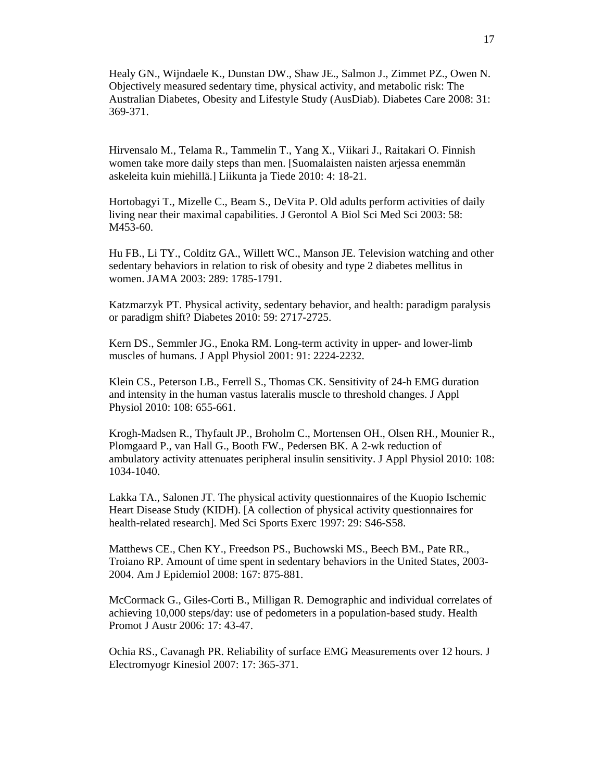Healy GN., Wijndaele K., Dunstan DW., Shaw JE., Salmon J., Zimmet PZ., Owen N. Objectively measured sedentary time, physical activity, and metabolic risk: The Australian Diabetes, Obesity and Lifestyle Study (AusDiab). Diabetes Care 2008: 31: 369-371.

Hirvensalo M., Telama R., Tammelin T., Yang X., Viikari J., Raitakari O. Finnish women take more daily steps than men. [Suomalaisten naisten arjessa enemmän askeleita kuin miehillä.] Liikunta ja Tiede 2010: 4: 18-21.

Hortobagyi T., Mizelle C., Beam S., DeVita P. Old adults perform activities of daily living near their maximal capabilities. J Gerontol A Biol Sci Med Sci 2003: 58: M453-60.

Hu FB., Li TY., Colditz GA., Willett WC., Manson JE. Television watching and other sedentary behaviors in relation to risk of obesity and type 2 diabetes mellitus in women. JAMA 2003: 289: 1785-1791.

Katzmarzyk PT. Physical activity, sedentary behavior, and health: paradigm paralysis or paradigm shift? Diabetes 2010: 59: 2717-2725.

Kern DS., Semmler JG., Enoka RM. Long-term activity in upper- and lower-limb muscles of humans. J Appl Physiol 2001: 91: 2224-2232.

Klein CS., Peterson LB., Ferrell S., Thomas CK. Sensitivity of 24-h EMG duration and intensity in the human vastus lateralis muscle to threshold changes. J Appl Physiol 2010: 108: 655-661.

Krogh-Madsen R., Thyfault JP., Broholm C., Mortensen OH., Olsen RH., Mounier R., Plomgaard P., van Hall G., Booth FW., Pedersen BK. A 2-wk reduction of ambulatory activity attenuates peripheral insulin sensitivity. J Appl Physiol 2010: 108: 1034-1040.

Lakka TA., Salonen JT. The physical activity questionnaires of the Kuopio Ischemic Heart Disease Study (KIDH). [A collection of physical activity questionnaires for health-related research]. Med Sci Sports Exerc 1997: 29: S46-S58.

Matthews CE., Chen KY., Freedson PS., Buchowski MS., Beech BM., Pate RR., Troiano RP. Amount of time spent in sedentary behaviors in the United States, 2003- 2004. Am J Epidemiol 2008: 167: 875-881.

McCormack G., Giles-Corti B., Milligan R. Demographic and individual correlates of achieving 10,000 steps/day: use of pedometers in a population-based study. Health Promot J Austr 2006: 17: 43-47.

Ochia RS., Cavanagh PR. Reliability of surface EMG Measurements over 12 hours. J Electromyogr Kinesiol 2007: 17: 365-371.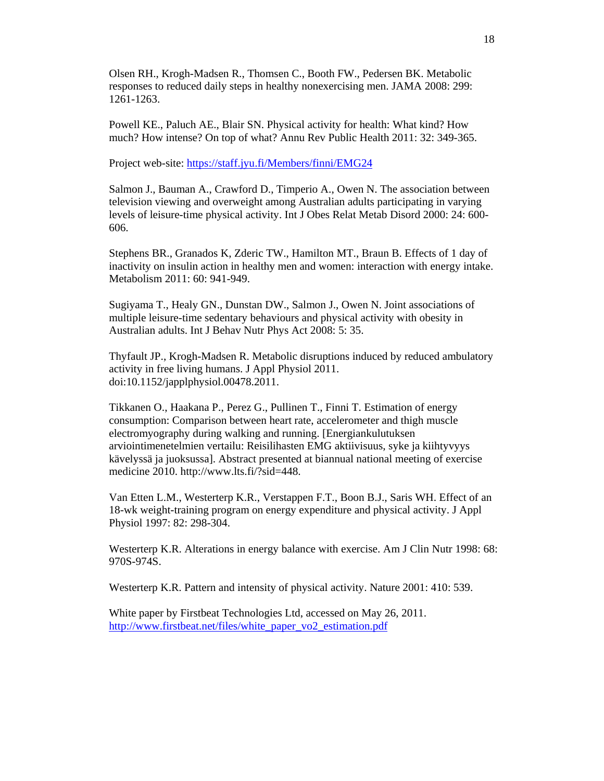Olsen RH., Krogh-Madsen R., Thomsen C., Booth FW., Pedersen BK. Metabolic responses to reduced daily steps in healthy nonexercising men. JAMA 2008: 299: 1261-1263.

Powell KE., Paluch AE., Blair SN. Physical activity for health: What kind? How much? How intense? On top of what? Annu Rev Public Health 2011: 32: 349-365.

Project web-site: https://staff.jyu.fi/Members/finni/EMG24

Salmon J., Bauman A., Crawford D., Timperio A., Owen N. The association between television viewing and overweight among Australian adults participating in varying levels of leisure-time physical activity. Int J Obes Relat Metab Disord 2000: 24: 600- 606.

Stephens BR., Granados K, Zderic TW., Hamilton MT., Braun B. Effects of 1 day of inactivity on insulin action in healthy men and women: interaction with energy intake. Metabolism 2011: 60: 941-949.

Sugiyama T., Healy GN., Dunstan DW., Salmon J., Owen N. Joint associations of multiple leisure-time sedentary behaviours and physical activity with obesity in Australian adults. Int J Behav Nutr Phys Act 2008: 5: 35.

Thyfault JP., Krogh-Madsen R. Metabolic disruptions induced by reduced ambulatory activity in free living humans. J Appl Physiol 2011. doi:10.1152/japplphysiol.00478.2011.

Tikkanen O., Haakana P., Perez G., Pullinen T., Finni T. Estimation of energy consumption: Comparison between heart rate, accelerometer and thigh muscle electromyography during walking and running. [Energiankulutuksen arviointimenetelmien vertailu: Reisilihasten EMG aktiivisuus, syke ja kiihtyvyys kävelyssä ja juoksussa]. Abstract presented at biannual national meeting of exercise medicine 2010. http://www.lts.fi/?sid=448.

Van Etten L.M., Westerterp K.R., Verstappen F.T., Boon B.J., Saris WH. Effect of an 18-wk weight-training program on energy expenditure and physical activity. J Appl Physiol 1997: 82: 298-304.

Westerterp K.R. Alterations in energy balance with exercise. Am J Clin Nutr 1998: 68: 970S-974S.

Westerterp K.R. Pattern and intensity of physical activity. Nature 2001: 410: 539.

White paper by Firstbeat Technologies Ltd, accessed on May 26, 2011. http://www.firstbeat.net/files/white\_paper\_vo2\_estimation.pdf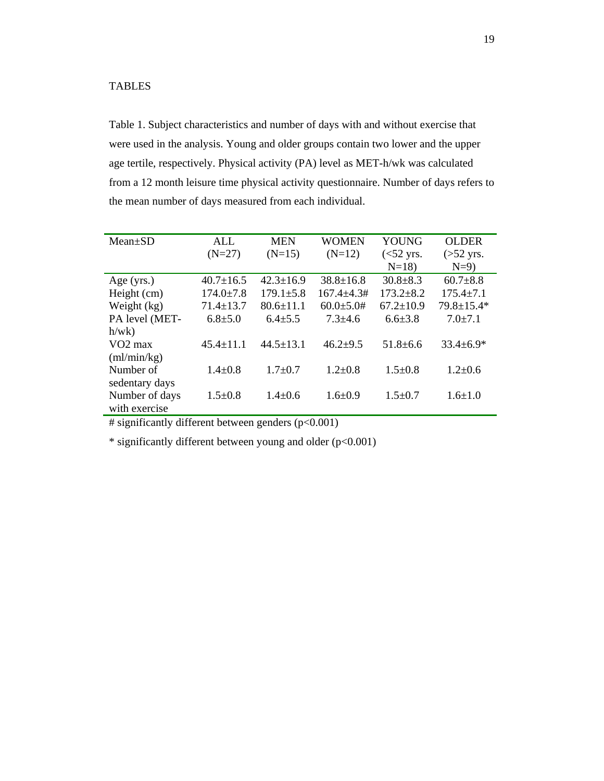## TABLES

Table 1. Subject characteristics and number of days with and without exercise that were used in the analysis. Young and older groups contain two lower and the upper age tertile, respectively. Physical activity (PA) level as MET-h/wk was calculated from a 12 month leisure time physical activity questionnaire. Number of days refers to the mean number of days measured from each individual.

| $Mean \pm SD$  | ALL             | <b>MEN</b>      | <b>WOMEN</b>     | YOUNG           | <b>OLDER</b>     |
|----------------|-----------------|-----------------|------------------|-----------------|------------------|
|                | $(N=27)$        | $(N=15)$        | $(N=12)$         | $(<52$ yrs.     | $($ >52 yrs.     |
|                |                 |                 |                  | $N=18$          | $N=9$            |
| Age $(yrs.)$   | $40.7 \pm 16.5$ | $42.3 \pm 16.9$ | $38.8 \pm 16.8$  | $30.8 \pm 8.3$  | $60.7 + 8.8$     |
| Height (cm)    | $174.0 \pm 7.8$ | $179.1 \pm 5.8$ | $167.4 + 4.3#$   | $173.2 \pm 8.2$ | $175.4 \pm 7.1$  |
| Weight (kg)    | $71.4 \pm 13.7$ | $80.6 \pm 11.1$ | $60.0 \pm 5.0$ # | $67.2 \pm 10.9$ | $79.8 \pm 15.4*$ |
| PA level (MET- | $6.8{\pm}5.0$   | $6.4{\pm}5.5$   | $7.3 + 4.6$      | $6.6{\pm}3.8$   | $7.0 \pm 7.1$    |
| h/wk           |                 |                 |                  |                 |                  |
| $VO2$ max      | $45.4 \pm 11.1$ | $44.5 \pm 13.1$ | $46.2+9.5$       | $51.8 \pm 6.6$  | $33.4 \pm 6.9*$  |
| (ml/min/kg)    |                 |                 |                  |                 |                  |
| Number of      | $1.4 \pm 0.8$   | $1.7 + 0.7$     | $1.2 \pm 0.8$    | $1.5 \pm 0.8$   | $1.2 \pm 0.6$    |
| sedentary days |                 |                 |                  |                 |                  |
| Number of days | $1.5 \pm 0.8$   | $1.4 \pm 0.6$   | $1.6 + 0.9$      | $1.5 \pm 0.7$   | $1.6 \pm 1.0$    |
| with exercise  |                 |                 |                  |                 |                  |

 $\#$  significantly different between genders (p<0.001)

\* significantly different between young and older (p<0.001)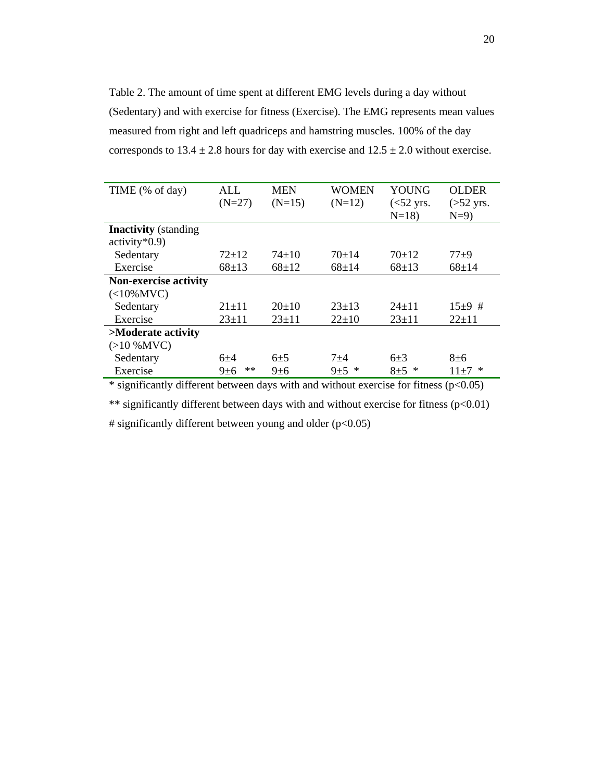Table 2. The amount of time spent at different EMG levels during a day without (Sedentary) and with exercise for fitness (Exercise). The EMG represents mean values measured from right and left quadriceps and hamstring muscles. 100% of the day corresponds to  $13.4 \pm 2.8$  hours for day with exercise and  $12.5 \pm 2.0$  without exercise.

| TIME (% of day)                               | ALL<br>$(N=27)$  | <b>MEN</b><br>$(N=15)$ | WOMEN<br>$(N=12)$ | YOUNG<br>$(<52$ yrs.<br>$N=18$ ) | <b>OLDER</b><br>$($ >52 yrs.<br>$N=9$ ) |
|-----------------------------------------------|------------------|------------------------|-------------------|----------------------------------|-----------------------------------------|
| <b>Inactivity</b> (standing<br>$activity*0.9$ |                  |                        |                   |                                  |                                         |
| Sedentary                                     | $72+12$          | $74 \pm 10$            | $70+14$           | $70+12$                          | $77 + 9$                                |
| Exercise                                      | $68 + 13$        | $68 \pm 12$            | $68 \pm 14$       | $68 \pm 13$                      | $68 + 14$                               |
| <b>Non-exercise activity</b>                  |                  |                        |                   |                                  |                                         |
| $(<10\%$ MVC)                                 |                  |                        |                   |                                  |                                         |
| Sedentary                                     | $21 \pm 11$      | $20 \pm 10$            | $23+13$           | $24+11$                          | $15+9$ #                                |
| Exercise                                      | $23+11$          | $23+11$                | $22 \pm 10$       | $23+11$                          | $22+11$                                 |
| >Moderate activity                            |                  |                        |                   |                                  |                                         |
| $(>10\%$ MVC)                                 |                  |                        |                   |                                  |                                         |
| Sedentary                                     | $6+4$            | $6\pm 5$               | $7 + 4$           | $6 + 3$                          | $8 + 6$                                 |
| Exercise                                      | $**$<br>$9\pm 6$ | $9\pm 6$               | ∗<br>$9 + 5$      | *<br>$8\pm5$                     | ∗<br>$11\pm7$                           |
|                                               |                  |                        |                   |                                  |                                         |

 $*$  significantly different between days with and without exercise for fitness ( $p<0.05$ )

\*\* significantly different between days with and without exercise for fitness  $(p<0.01)$ 

# significantly different between young and older  $(p<0.05)$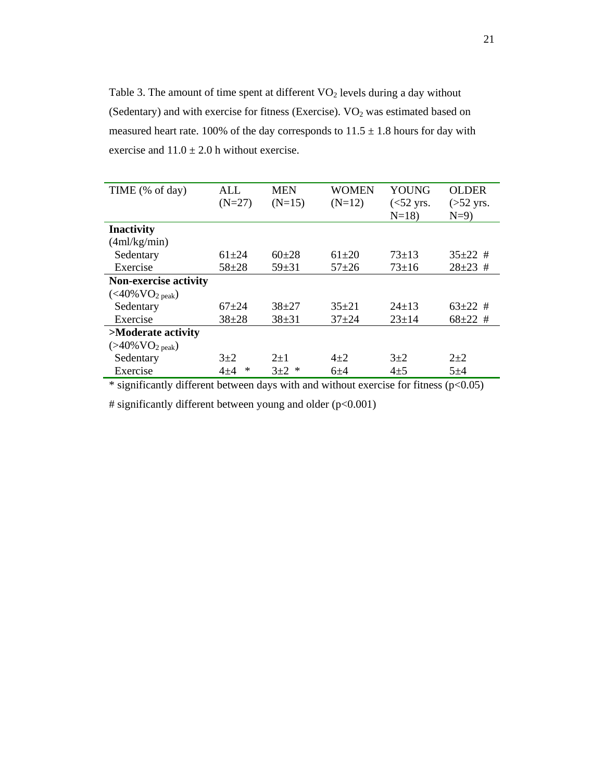Table 3. The amount of time spent at different  $VO<sub>2</sub>$  levels during a day without (Sedentary) and with exercise for fitness (Exercise).  $VO<sub>2</sub>$  was estimated based on measured heart rate. 100% of the day corresponds to  $11.5 \pm 1.8$  hours for day with exercise and  $11.0 \pm 2.0$  h without exercise.

| TIME (% of day)                                | AI.        | <b>MEN</b> | WOMEN     | YOUNG       | <b>OLDER</b>  |
|------------------------------------------------|------------|------------|-----------|-------------|---------------|
|                                                | $(N=27)$   | $(N=15)$   | $(N=12)$  | $(<52$ yrs. | $($ >52 yrs.  |
|                                                |            |            |           | $N=18$      | $N=9$         |
| <b>Inactivity</b>                              |            |            |           |             |               |
| (4ml/kg/min)                                   |            |            |           |             |               |
| Sedentary                                      | $61 + 24$  | $60+28$    | $61 + 20$ | $73+13$     | $35\pm22$ #   |
| Exercise                                       | $58 + 28$  | $59 + 31$  | $57 + 26$ | $73 \pm 16$ | $28 \pm 23$ # |
| Non-exercise activity                          |            |            |           |             |               |
| $(<\!\!40\!\% \,\mathrm{VO}_2\,\mathrm{peak})$ |            |            |           |             |               |
| Sedentary                                      | $67+24$    | $38+27$    | $35+21$   | $24\pm13$   | $63\pm22$ #   |
| Exercise                                       | $38 + 28$  | $38 + 31$  | $37 + 24$ | $23 \pm 14$ | $68 \pm 22$ # |
| >Moderate activity                             |            |            |           |             |               |
| $(>40\%$ VO <sub>2 peak</sub> )                |            |            |           |             |               |
| Sedentary                                      | $3+2$      | $2+1$      | $4 + 2$   | $3+2$       | $2+2$         |
| Exercise                                       | ∗<br>$4+4$ | $3+2$<br>∗ | $6+4$     | $4 + 5$     | $5 + 4$       |

 $*$  significantly different between days with and without exercise for fitness ( $p<0.05$ )

# significantly different between young and older (p<0.001)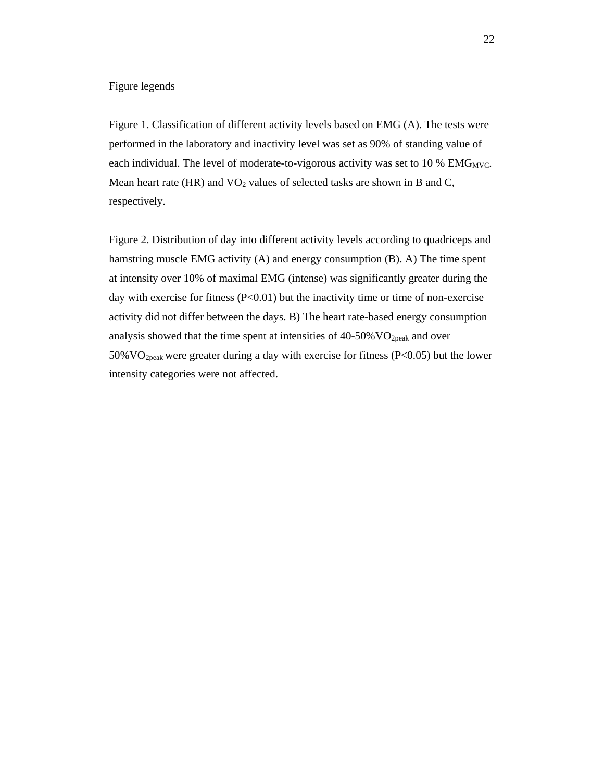## Figure legends

Figure 1. Classification of different activity levels based on EMG (A). The tests were performed in the laboratory and inactivity level was set as 90% of standing value of each individual. The level of moderate-to-vigorous activity was set to  $10\%$  EMG<sub>MVC</sub>. Mean heart rate (HR) and  $VO<sub>2</sub>$  values of selected tasks are shown in B and C, respectively.

Figure 2. Distribution of day into different activity levels according to quadriceps and hamstring muscle EMG activity (A) and energy consumption (B). A) The time spent at intensity over 10% of maximal EMG (intense) was significantly greater during the day with exercise for fitness  $(P<0.01)$  but the inactivity time or time of non-exercise activity did not differ between the days. B) The heart rate-based energy consumption analysis showed that the time spent at intensities of  $40-50\%$  VO<sub>2peak</sub> and over 50%VO2peak were greater during a day with exercise for fitness (P<0.05) but the lower intensity categories were not affected.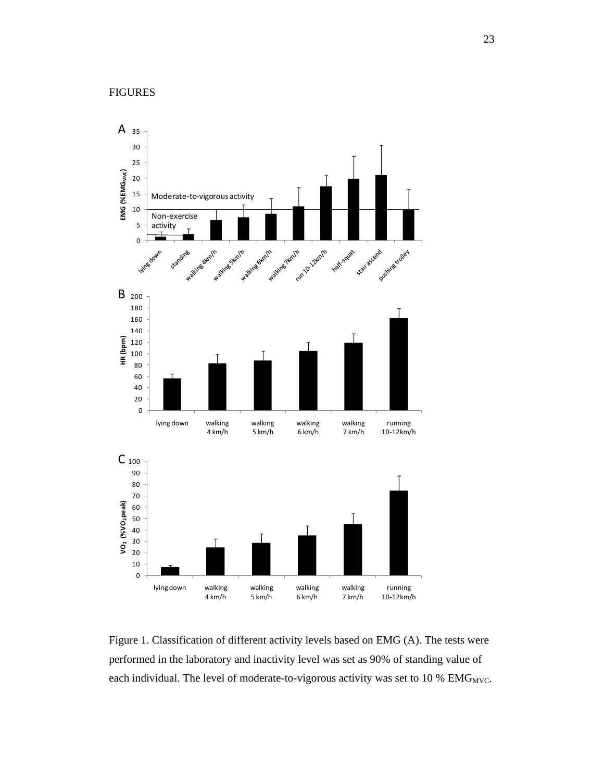

Figure 1. Classification of different activity levels based on EMG (A). The tests were performed in the laboratory and inactivity level was set as 90% of standing value of each individual. The level of moderate-to-vigorous activity was set to 10 %  $EMG_{MVC}$ .